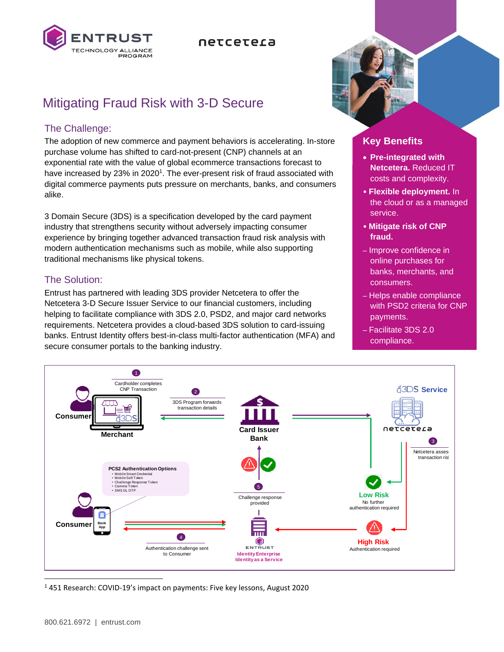

## netcetera

# Mitigating Fraud Risk with 3-D Secure

## The Challenge:

The adoption of new commerce and payment behaviors is accelerating. In-store purchase volume has shifted to card-not-present (CNP) channels at an exponential rate with the value of global ecommerce transactions forecast to have increased by 23% in 2020<sup>1</sup>. The ever-present risk of fraud associated with digital commerce payments puts pressure on merchants, banks, and consumers alike.

3 Domain Secure (3DS) is a specification developed by the card payment industry that strengthens security without adversely impacting consumer experience by bringing together advanced transaction fraud risk analysis with modern authentication mechanisms such as mobile, while also supporting traditional mechanisms like physical tokens.

## The Solution:

Entrust has partnered with leading 3DS provider Netcetera to offer the Netcetera 3-D Secure Issuer Service to our financial customers, including helping to facilitate compliance with 3DS 2.0, PSD2, and major card networks requirements. Netcetera provides a cloud-based 3DS solution to card-issuing banks. Entrust Identity offers best-in-class multi-factor authentication (MFA) and secure consumer portals to the banking industry.



## **Key Benefits**

- **Pre-integrated with Netcetera.** Reduced IT costs and complexity.
- **Flexible deployment.** In the cloud or as a managed service.
- **Mitigate risk of CNP fraud.**
- Improve confidence in online purchases for banks, merchants, and consumers.
- Helps enable compliance with PSD2 criteria for CNP payments.
- Facilitate 3DS 2.0 compliance.



<sup>1</sup> 451 Research: COVID-19's impact on payments: Five key lessons, August 2020